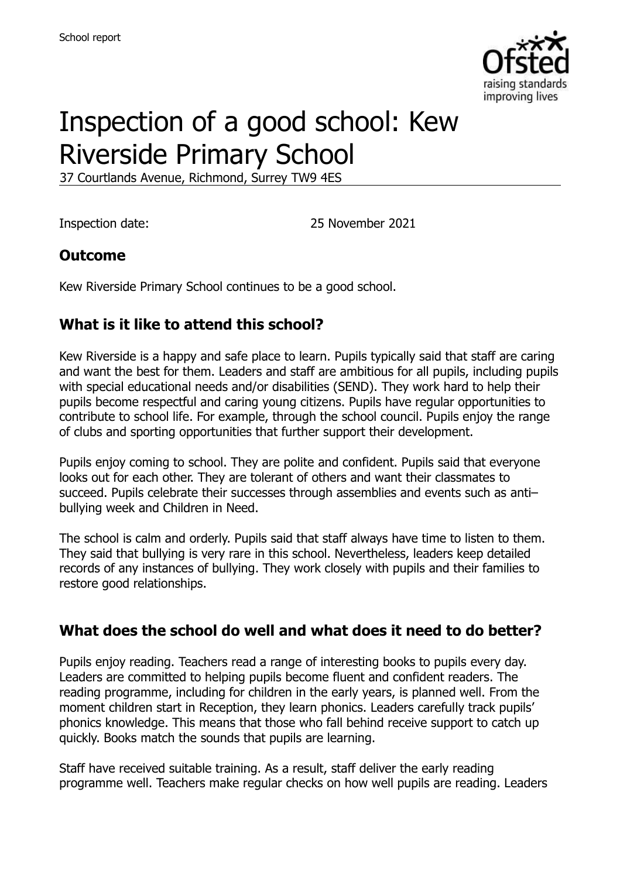

# Inspection of a good school: Kew Riverside Primary School

37 Courtlands Avenue, Richmond, Surrey TW9 4ES

Inspection date: 25 November 2021

## **Outcome**

Kew Riverside Primary School continues to be a good school.

## **What is it like to attend this school?**

Kew Riverside is a happy and safe place to learn. Pupils typically said that staff are caring and want the best for them. Leaders and staff are ambitious for all pupils, including pupils with special educational needs and/or disabilities (SEND). They work hard to help their pupils become respectful and caring young citizens. Pupils have regular opportunities to contribute to school life. For example, through the school council. Pupils enjoy the range of clubs and sporting opportunities that further support their development.

Pupils enjoy coming to school. They are polite and confident. Pupils said that everyone looks out for each other. They are tolerant of others and want their classmates to succeed. Pupils celebrate their successes through assemblies and events such as anti– bullying week and Children in Need.

The school is calm and orderly. Pupils said that staff always have time to listen to them. They said that bullying is very rare in this school. Nevertheless, leaders keep detailed records of any instances of bullying. They work closely with pupils and their families to restore good relationships.

## **What does the school do well and what does it need to do better?**

Pupils enjoy reading. Teachers read a range of interesting books to pupils every day. Leaders are committed to helping pupils become fluent and confident readers. The reading programme, including for children in the early years, is planned well. From the moment children start in Reception, they learn phonics. Leaders carefully track pupils' phonics knowledge. This means that those who fall behind receive support to catch up quickly. Books match the sounds that pupils are learning.

Staff have received suitable training. As a result, staff deliver the early reading programme well. Teachers make regular checks on how well pupils are reading. Leaders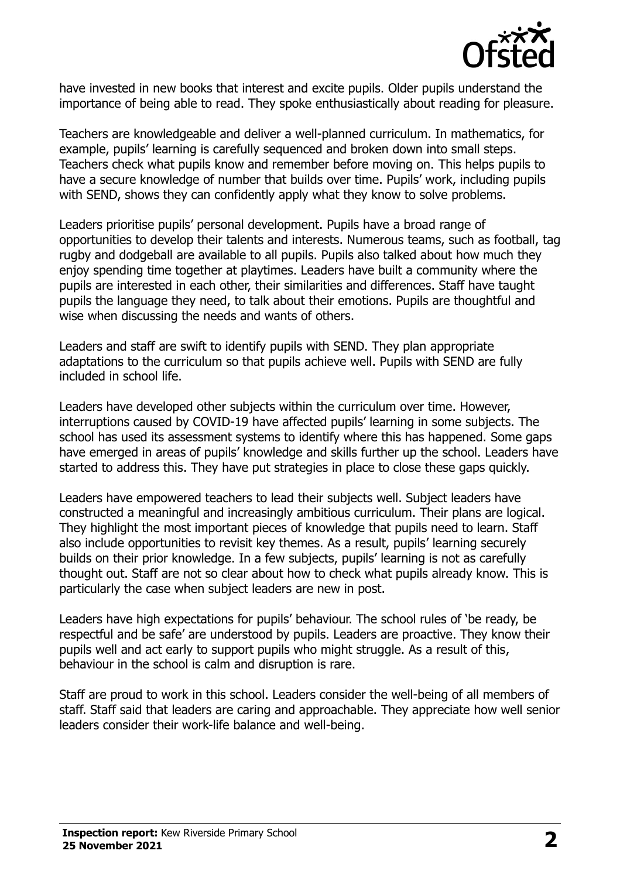

have invested in new books that interest and excite pupils. Older pupils understand the importance of being able to read. They spoke enthusiastically about reading for pleasure.

Teachers are knowledgeable and deliver a well-planned curriculum. In mathematics, for example, pupils' learning is carefully sequenced and broken down into small steps. Teachers check what pupils know and remember before moving on. This helps pupils to have a secure knowledge of number that builds over time. Pupils' work, including pupils with SEND, shows they can confidently apply what they know to solve problems.

Leaders prioritise pupils' personal development. Pupils have a broad range of opportunities to develop their talents and interests. Numerous teams, such as football, tag rugby and dodgeball are available to all pupils. Pupils also talked about how much they enjoy spending time together at playtimes. Leaders have built a community where the pupils are interested in each other, their similarities and differences. Staff have taught pupils the language they need, to talk about their emotions. Pupils are thoughtful and wise when discussing the needs and wants of others.

Leaders and staff are swift to identify pupils with SEND. They plan appropriate adaptations to the curriculum so that pupils achieve well. Pupils with SEND are fully included in school life.

Leaders have developed other subjects within the curriculum over time. However, interruptions caused by COVID-19 have affected pupils' learning in some subjects. The school has used its assessment systems to identify where this has happened. Some gaps have emerged in areas of pupils' knowledge and skills further up the school. Leaders have started to address this. They have put strategies in place to close these gaps quickly.

Leaders have empowered teachers to lead their subjects well. Subject leaders have constructed a meaningful and increasingly ambitious curriculum. Their plans are logical. They highlight the most important pieces of knowledge that pupils need to learn. Staff also include opportunities to revisit key themes. As a result, pupils' learning securely builds on their prior knowledge. In a few subjects, pupils' learning is not as carefully thought out. Staff are not so clear about how to check what pupils already know. This is particularly the case when subject leaders are new in post.

Leaders have high expectations for pupils' behaviour. The school rules of 'be ready, be respectful and be safe' are understood by pupils. Leaders are proactive. They know their pupils well and act early to support pupils who might struggle. As a result of this, behaviour in the school is calm and disruption is rare.

Staff are proud to work in this school. Leaders consider the well-being of all members of staff. Staff said that leaders are caring and approachable. They appreciate how well senior leaders consider their work-life balance and well-being.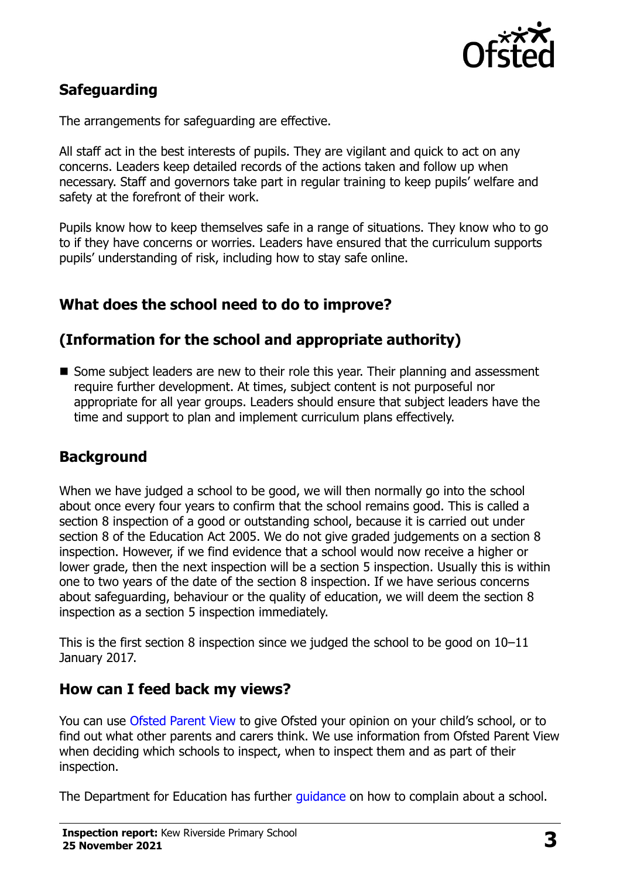

## **Safeguarding**

The arrangements for safeguarding are effective.

All staff act in the best interests of pupils. They are vigilant and quick to act on any concerns. Leaders keep detailed records of the actions taken and follow up when necessary. Staff and governors take part in regular training to keep pupils' welfare and safety at the forefront of their work.

Pupils know how to keep themselves safe in a range of situations. They know who to go to if they have concerns or worries. Leaders have ensured that the curriculum supports pupils' understanding of risk, including how to stay safe online.

## **What does the school need to do to improve?**

## **(Information for the school and appropriate authority)**

Some subject leaders are new to their role this year. Their planning and assessment require further development. At times, subject content is not purposeful nor appropriate for all year groups. Leaders should ensure that subject leaders have the time and support to plan and implement curriculum plans effectively.

### **Background**

When we have judged a school to be good, we will then normally go into the school about once every four years to confirm that the school remains good. This is called a section 8 inspection of a good or outstanding school, because it is carried out under section 8 of the Education Act 2005. We do not give graded judgements on a section 8 inspection. However, if we find evidence that a school would now receive a higher or lower grade, then the next inspection will be a section 5 inspection. Usually this is within one to two years of the date of the section 8 inspection. If we have serious concerns about safeguarding, behaviour or the quality of education, we will deem the section 8 inspection as a section 5 inspection immediately.

This is the first section 8 inspection since we judged the school to be good on 10–11 January 2017.

### **How can I feed back my views?**

You can use [Ofsted Parent View](https://parentview.ofsted.gov.uk/) to give Ofsted your opinion on your child's school, or to find out what other parents and carers think. We use information from Ofsted Parent View when deciding which schools to inspect, when to inspect them and as part of their inspection.

The Department for Education has further quidance on how to complain about a school.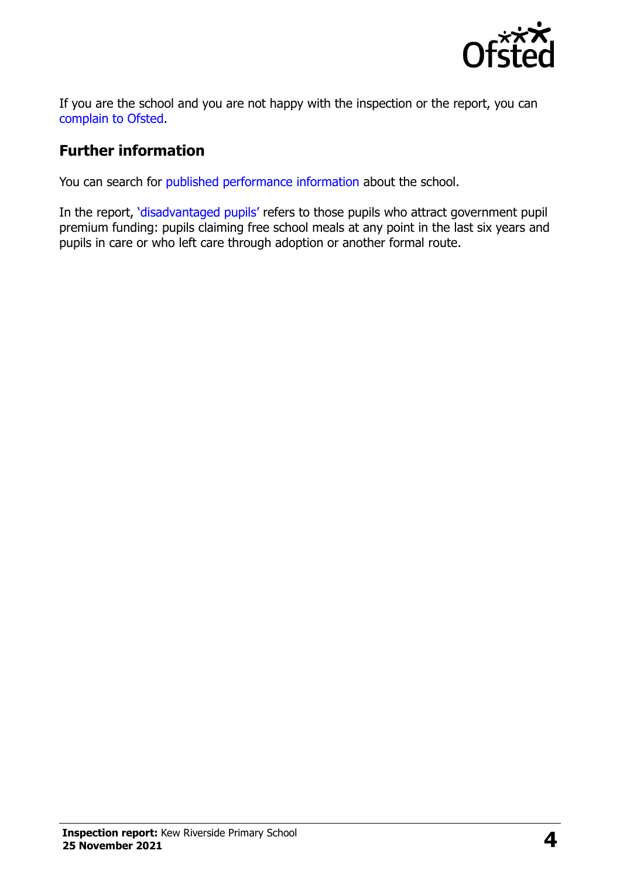

If you are the school and you are not happy with the inspection or the report, you can [complain to Ofsted.](https://www.gov.uk/complain-ofsted-report)

## **Further information**

You can search for [published performance information](http://www.compare-school-performance.service.gov.uk/) about the school.

In the report, '[disadvantaged pupils](http://www.gov.uk/guidance/pupil-premium-information-for-schools-and-alternative-provision-settings)' refers to those pupils who attract government pupil premium funding: pupils claiming free school meals at any point in the last six years and pupils in care or who left care through adoption or another formal route.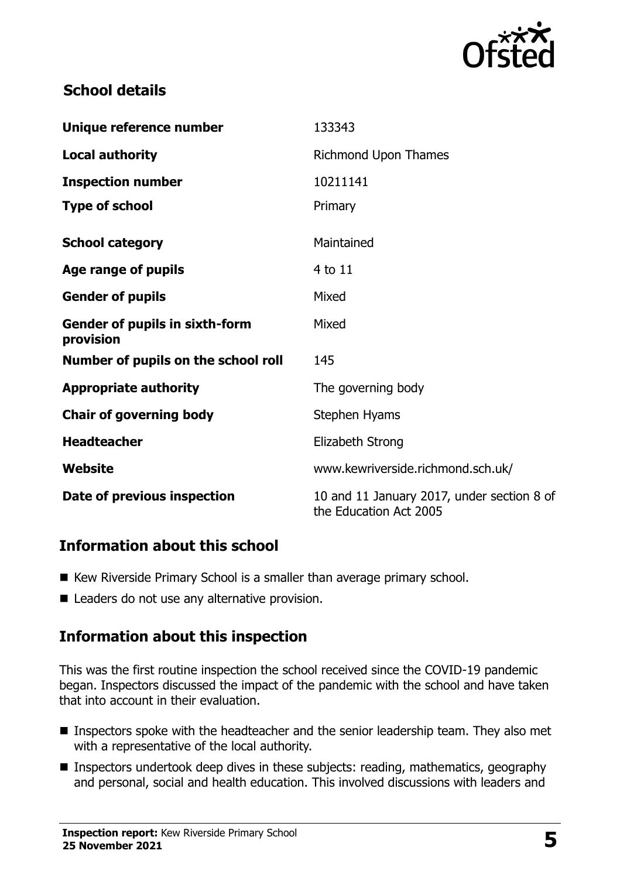

## **School details**

| Unique reference number                            | 133343                                                               |
|----------------------------------------------------|----------------------------------------------------------------------|
| <b>Local authority</b>                             | Richmond Upon Thames                                                 |
| <b>Inspection number</b>                           | 10211141                                                             |
| <b>Type of school</b>                              | Primary                                                              |
| <b>School category</b>                             | Maintained                                                           |
| Age range of pupils                                | 4 to 11                                                              |
| <b>Gender of pupils</b>                            | Mixed                                                                |
| <b>Gender of pupils in sixth-form</b><br>provision | Mixed                                                                |
| Number of pupils on the school roll                | 145                                                                  |
| <b>Appropriate authority</b>                       | The governing body                                                   |
| <b>Chair of governing body</b>                     | Stephen Hyams                                                        |
| <b>Headteacher</b>                                 | Elizabeth Strong                                                     |
| Website                                            | www.kewriverside.richmond.sch.uk/                                    |
| Date of previous inspection                        | 10 and 11 January 2017, under section 8 of<br>the Education Act 2005 |

## **Information about this school**

- Kew Riverside Primary School is a smaller than average primary school.
- Leaders do not use any alternative provision.

## **Information about this inspection**

This was the first routine inspection the school received since the COVID-19 pandemic began. Inspectors discussed the impact of the pandemic with the school and have taken that into account in their evaluation.

- Inspectors spoke with the headteacher and the senior leadership team. They also met with a representative of the local authority.
- **Inspectors undertook deep dives in these subjects: reading, mathematics, geography** and personal, social and health education. This involved discussions with leaders and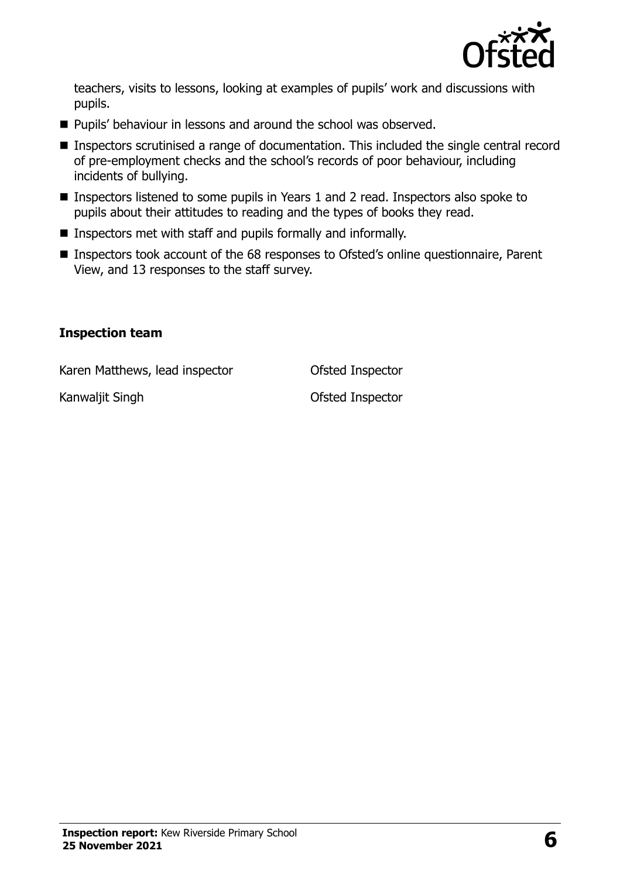

teachers, visits to lessons, looking at examples of pupils' work and discussions with pupils.

- **Pupils' behaviour in lessons and around the school was observed.**
- Inspectors scrutinised a range of documentation. This included the single central record of pre-employment checks and the school's records of poor behaviour, including incidents of bullying.
- Inspectors listened to some pupils in Years 1 and 2 read. Inspectors also spoke to pupils about their attitudes to reading and the types of books they read.
- **I** Inspectors met with staff and pupils formally and informally.
- Inspectors took account of the 68 responses to Ofsted's online questionnaire, Parent View, and 13 responses to the staff survey.

#### **Inspection team**

Karen Matthews, lead inspector **Ofsted Inspector** 

Kanwaljit Singh **Cancer Contract Contract Contract Contract Contract Contract Contract Contract Contract Contract Contract Contract Contract Contract Contract Contract Contract Contract Contract Contract Contract Contract**